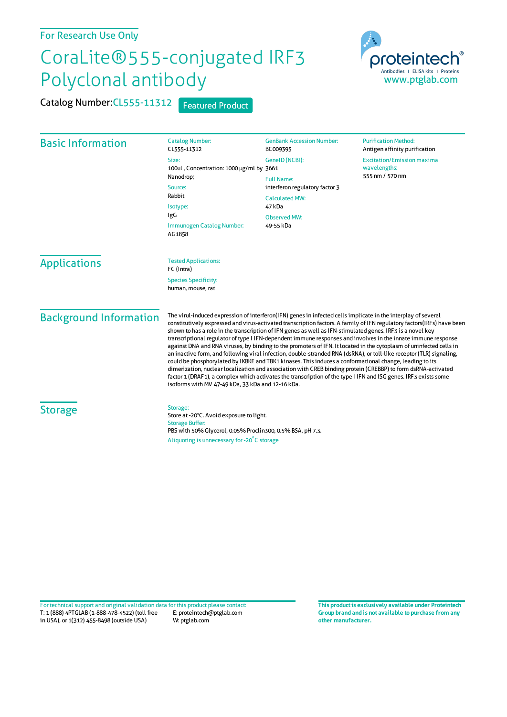## For Research Use Only

## CoraLite®555-conjugated IRF3 Polyclonal antibody

Catalog Number: CL555-11312 Featured Product



| <b>Basic Information</b>      | <b>Catalog Number:</b><br>CL555-11312                                                                                                                                                                                                                                                                                                                                                                                                                                                                                                                                                                                                                                                                                                                                                                                                                                                                                                                                                                                                                                                                                     | <b>GenBank Accession Number:</b><br>BC009395                                                                                                 | <b>Purification Method:</b><br>Antigen affinity purification         |
|-------------------------------|---------------------------------------------------------------------------------------------------------------------------------------------------------------------------------------------------------------------------------------------------------------------------------------------------------------------------------------------------------------------------------------------------------------------------------------------------------------------------------------------------------------------------------------------------------------------------------------------------------------------------------------------------------------------------------------------------------------------------------------------------------------------------------------------------------------------------------------------------------------------------------------------------------------------------------------------------------------------------------------------------------------------------------------------------------------------------------------------------------------------------|----------------------------------------------------------------------------------------------------------------------------------------------|----------------------------------------------------------------------|
|                               | Size:<br>100ul, Concentration: 1000 µg/ml by 3661<br>Nanodrop;<br>Source:<br>Rabbit<br>Isotype:<br>IgG<br>Immunogen Catalog Number:<br>AG1858                                                                                                                                                                                                                                                                                                                                                                                                                                                                                                                                                                                                                                                                                                                                                                                                                                                                                                                                                                             | GenelD (NCBI):<br><b>Full Name:</b><br>interferon regulatory factor 3<br><b>Calculated MW:</b><br>47 kDa<br><b>Observed MW:</b><br>49-55 kDa | <b>Excitation/Emission maxima</b><br>wavelengths:<br>555 nm / 570 nm |
| <b>Applications</b>           | <b>Tested Applications:</b><br>FC (Intra)<br><b>Species Specificity:</b><br>human, mouse, rat                                                                                                                                                                                                                                                                                                                                                                                                                                                                                                                                                                                                                                                                                                                                                                                                                                                                                                                                                                                                                             |                                                                                                                                              |                                                                      |
| <b>Background Information</b> | The virul-induced expression of interferon(IFN) genes in infected cells implicate in the interplay of several<br>constitutively expressed and virus-activated transcription factors. A family of IFN regulatory factors(IRFs) have been<br>shown to has a role in the transcription of IFN genes as well as IFN-stimulated genes. IRF3 is a novel key<br>transcriptional regulator of type I IFN-dependent immune responses and involves in the innate immune response<br>against DNA and RNA viruses, by binding to the promoters of IFN. It located in the cytoplasm of uninfected cells in<br>an inactive form, and following viral infection, double-stranded RNA (dsRNA), or toll-like receptor (TLR) signaling,<br>could be phosphorylated by IKBKE and TBK1 kinases. This induces a conformational change, leading to its<br>dimerization, nuclear localization and association with CREB binding protein (CREBBP) to form dsRNA-activated<br>factor 1 (DRAF1), a complex which activates the transcription of the type I IFN and ISG genes. IRF3 exists some<br>isoforms with MV 47-49 kDa, 33 kDa and 12-16 kDa. |                                                                                                                                              |                                                                      |
| <b>Storage</b>                | Storage:<br>Store at -20°C. Avoid exposure to light.<br><b>Storage Buffer:</b><br>PBS with 50% Glycerol, 0.05% Proclin300, 0.5% BSA, pH 7.3.<br>Aliquoting is unnecessary for -20°C storage                                                                                                                                                                                                                                                                                                                                                                                                                                                                                                                                                                                                                                                                                                                                                                                                                                                                                                                               |                                                                                                                                              |                                                                      |

T: 1 (888) 4PTGLAB (1-888-478-4522) (toll free in USA), or 1(312) 455-8498 (outside USA) E: proteintech@ptglab.com W: ptglab.com Fortechnical support and original validation data forthis product please contact: **This productis exclusively available under Proteintech**

**Group brand and is not available to purchase from any other manufacturer.**